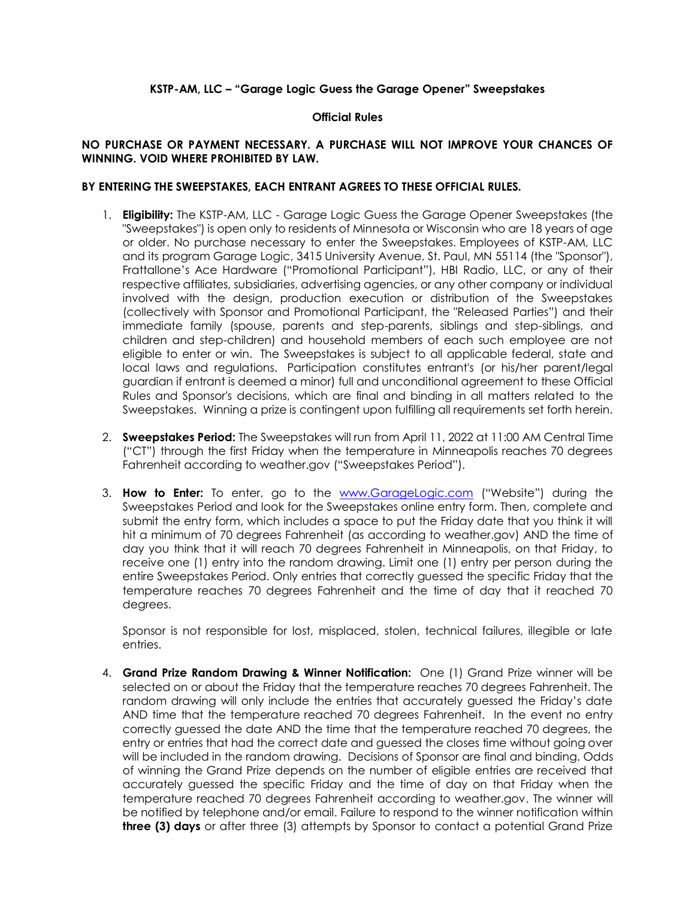## **KSTP-AM, LLC – "Garage Logic Guess the Garage Opener" Sweepstakes**

## **Official Rules**

## **NO PURCHASE OR PAYMENT NECESSARY. A PURCHASE WILL NOT IMPROVE YOUR CHANCES OF WINNING. VOID WHERE PROHIBITED BY LAW.**

## **BY ENTERING THE SWEEPSTAKES, EACH ENTRANT AGREES TO THESE OFFICIAL RULES.**

- 1. **Eligibility:** The KSTP-AM, LLC Garage Logic Guess the Garage Opener Sweepstakes (the "Sweepstakes") is open only to residents of Minnesota or Wisconsin who are 18 years of age or older. No purchase necessary to enter the Sweepstakes. Employees of KSTP-AM, LLC and its program Garage Logic, 3415 University Avenue, St. Paul, MN 55114 (the "Sponsor"), Frattallone's Ace Hardware ("Promotional Participant"), HBI Radio, LLC, or any of their respective affiliates, subsidiaries, advertising agencies, or any other company or individual involved with the design, production execution or distribution of the Sweepstakes (collectively with Sponsor and Promotional Participant, the "Released Parties") and their immediate family (spouse, parents and step-parents, siblings and step-siblings, and children and step-children) and household members of each such employee are not eligible to enter or win. The Sweepstakes is subject to all applicable federal, state and local laws and regulations. Participation constitutes entrant's (or his/her parent/legal guardian if entrant is deemed a minor) full and unconditional agreement to these Official Rules and Sponsor's decisions, which are final and binding in all matters related to the Sweepstakes. Winning a prize is contingent upon fulfilling all requirements set forth herein.
- 2. **Sweepstakes Period:** The Sweepstakes will run from April 11, 2022 at 11:00 AM Central Time ("CT") through the first Friday when the temperature in Minneapolis reaches 70 degrees Fahrenheit according to weather.gov ("Sweepstakes Period").
- 3. **How to Enter:** To enter, go to the [www.GarageLogic.com](http://www.garagelogic.com/) ("Website") during the Sweepstakes Period and look for the Sweepstakes online entry form. Then, complete and submit the entry form, which includes a space to put the Friday date that you think it will hit a minimum of 70 degrees Fahrenheit (as according to weather.gov) AND the time of day you think that it will reach 70 degrees Fahrenheit in Minneapolis, on that Friday, to receive one (1) entry into the random drawing. Limit one (1) entry per person during the entire Sweepstakes Period. Only entries that correctly guessed the specific Friday that the temperature reaches 70 degrees Fahrenheit and the time of day that it reached 70 degrees.

Sponsor is not responsible for lost, misplaced, stolen, technical failures, illegible or late entries.

4. **Grand Prize Random Drawing & Winner Notification:** One (1) Grand Prize winner will be selected on or about the Friday that the temperature reaches 70 degrees Fahrenheit. The random drawing will only include the entries that accurately guessed the Friday's date AND time that the temperature reached 70 degrees Fahrenheit. In the event no entry correctly guessed the date AND the time that the temperature reached 70 degrees, the entry or entries that had the correct date and guessed the closes time without going over will be included in the random drawing. Decisions of Sponsor are final and binding. Odds of winning the Grand Prize depends on the number of eligible entries are received that accurately guessed the specific Friday and the time of day on that Friday when the temperature reached 70 degrees Fahrenheit according to weather.gov. The winner will be notified by telephone and/or email. Failure to respond to the winner notification within **three (3) days** or after three (3) attempts by Sponsor to contact a potential Grand Prize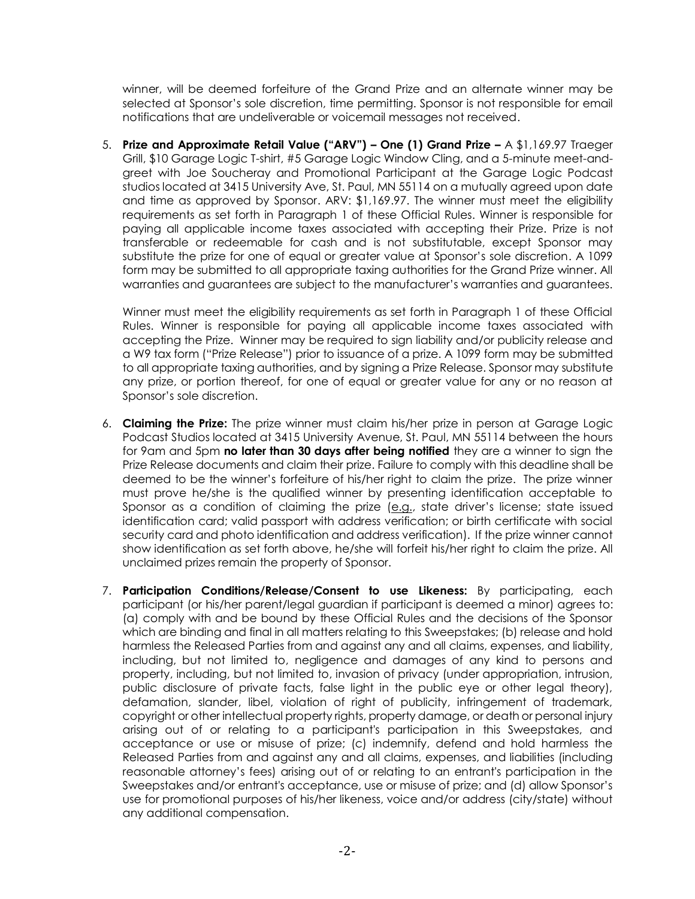winner, will be deemed forfeiture of the Grand Prize and an alternate winner may be selected at Sponsor's sole discretion, time permitting. Sponsor is not responsible for email notifications that are undeliverable or voicemail messages not received.

5. **Prize and Approximate Retail Value ("ARV") – One (1) Grand Prize –** A \$1,169.97 Traeger Grill, \$10 Garage Logic T-shirt, #5 Garage Logic Window Cling, and a 5-minute meet-andgreet with Joe Soucheray and Promotional Participant at the Garage Logic Podcast studios located at 3415 University Ave, St. Paul, MN 55114 on a mutually agreed upon date and time as approved by Sponsor. ARV: \$1,169.97. The winner must meet the eligibility requirements as set forth in Paragraph 1 of these Official Rules. Winner is responsible for paying all applicable income taxes associated with accepting their Prize. Prize is not transferable or redeemable for cash and is not substitutable, except Sponsor may substitute the prize for one of equal or greater value at Sponsor's sole discretion. A 1099 form may be submitted to all appropriate taxing authorities for the Grand Prize winner. All warranties and guarantees are subject to the manufacturer's warranties and guarantees.

Winner must meet the eligibility requirements as set forth in Paragraph 1 of these Official Rules. Winner is responsible for paying all applicable income taxes associated with accepting the Prize. Winner may be required to sign liability and/or publicity release and a W9 tax form ("Prize Release") prior to issuance of a prize. A 1099 form may be submitted to all appropriate taxing authorities, and by signing a Prize Release. Sponsor may substitute any prize, or portion thereof, for one of equal or greater value for any or no reason at Sponsor's sole discretion.

- 6. **Claiming the Prize:** The prize winner must claim his/her prize in person at Garage Logic Podcast Studios located at 3415 University Avenue, St. Paul, MN 55114 between the hours for 9am and 5pm **no later than 30 days after being notified** they are a winner to sign the Prize Release documents and claim their prize. Failure to comply with this deadline shall be deemed to be the winner's forfeiture of his/her right to claim the prize. The prize winner must prove he/she is the qualified winner by presenting identification acceptable to Sponsor as a condition of claiming the prize  $(e.g.,$  state driver's license; state issued identification card; valid passport with address verification; or birth certificate with social security card and photo identification and address verification). If the prize winner cannot show identification as set forth above, he/she will forfeit his/her right to claim the prize. All unclaimed prizes remain the property of Sponsor.
- 7. **Participation Conditions/Release/Consent to use Likeness:** By participating, each participant (or his/her parent/legal guardian if participant is deemed a minor) agrees to: (a) comply with and be bound by these Official Rules and the decisions of the Sponsor which are binding and final in all matters relating to this Sweepstakes; (b) release and hold harmless the Released Parties from and against any and all claims, expenses, and liability, including, but not limited to, negligence and damages of any kind to persons and property, including, but not limited to, invasion of privacy (under appropriation, intrusion, public disclosure of private facts, false light in the public eye or other legal theory), defamation, slander, libel, violation of right of publicity, infringement of trademark, copyright or other intellectual property rights, property damage, or death or personal injury arising out of or relating to a participant's participation in this Sweepstakes, and acceptance or use or misuse of prize; (c) indemnify, defend and hold harmless the Released Parties from and against any and all claims, expenses, and liabilities (including reasonable attorney's fees) arising out of or relating to an entrant's participation in the Sweepstakes and/or entrant's acceptance, use or misuse of prize; and (d) allow Sponsor's use for promotional purposes of his/her likeness, voice and/or address (city/state) without any additional compensation.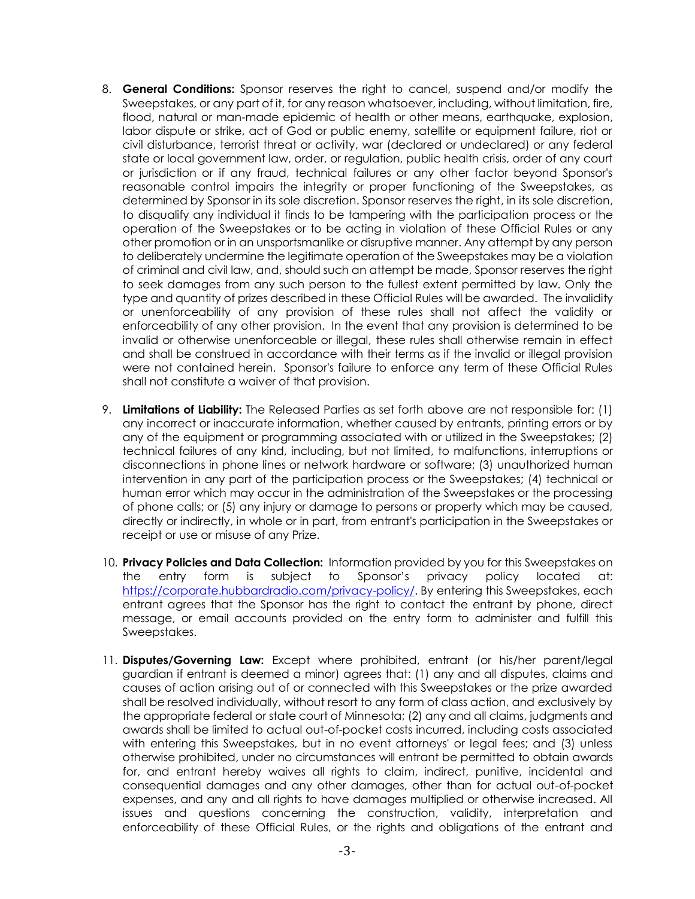- 8. **General Conditions:** Sponsor reserves the right to cancel, suspend and/or modify the Sweepstakes, or any part of it, for any reason whatsoever, including, without limitation, fire, flood, natural or man-made epidemic of health or other means, earthquake, explosion, labor dispute or strike, act of God or public enemy, satellite or equipment failure, riot or civil disturbance, terrorist threat or activity, war (declared or undeclared) or any federal state or local government law, order, or regulation, public health crisis, order of any court or jurisdiction or if any fraud, technical failures or any other factor beyond Sponsor's reasonable control impairs the integrity or proper functioning of the Sweepstakes, as determined by Sponsor in its sole discretion. Sponsor reserves the right, in its sole discretion, to disqualify any individual it finds to be tampering with the participation process or the operation of the Sweepstakes or to be acting in violation of these Official Rules or any other promotion or in an unsportsmanlike or disruptive manner. Any attempt by any person to deliberately undermine the legitimate operation of the Sweepstakes may be a violation of criminal and civil law, and, should such an attempt be made, Sponsor reserves the right to seek damages from any such person to the fullest extent permitted by law. Only the type and quantity of prizes described in these Official Rules will be awarded. The invalidity or unenforceability of any provision of these rules shall not affect the validity or enforceability of any other provision. In the event that any provision is determined to be invalid or otherwise unenforceable or illegal, these rules shall otherwise remain in effect and shall be construed in accordance with their terms as if the invalid or illegal provision were not contained herein. Sponsor's failure to enforce any term of these Official Rules shall not constitute a waiver of that provision.
- 9. **Limitations of Liability:** The Released Parties as set forth above are not responsible for: (1) any incorrect or inaccurate information, whether caused by entrants, printing errors or by any of the equipment or programming associated with or utilized in the Sweepstakes; (2) technical failures of any kind, including, but not limited, to malfunctions, interruptions or disconnections in phone lines or network hardware or software; (3) unauthorized human intervention in any part of the participation process or the Sweepstakes; (4) technical or human error which may occur in the administration of the Sweepstakes or the processing of phone calls; or (5) any injury or damage to persons or property which may be caused, directly or indirectly, in whole or in part, from entrant's participation in the Sweepstakes or receipt or use or misuse of any Prize.
- 10. **Privacy Policies and Data Collection:** Information provided by you for this Sweepstakes on the entry form is subject to Sponsor's privacy policy located at: [https://corporate.hubbardradio.com/privacy-policy/.](https://corporate.hubbardradio.com/privacy-policy/) By entering this Sweepstakes, each entrant agrees that the Sponsor has the right to contact the entrant by phone, direct message, or email accounts provided on the entry form to administer and fulfill this Sweepstakes.
- 11. **Disputes/Governing Law:** Except where prohibited, entrant (or his/her parent/legal guardian if entrant is deemed a minor) agrees that: (1) any and all disputes, claims and causes of action arising out of or connected with this Sweepstakes or the prize awarded shall be resolved individually, without resort to any form of class action, and exclusively by the appropriate federal or state court of Minnesota; (2) any and all claims, judgments and awards shall be limited to actual out-of-pocket costs incurred, including costs associated with entering this Sweepstakes, but in no event attorneys' or legal fees; and (3) unless otherwise prohibited, under no circumstances will entrant be permitted to obtain awards for, and entrant hereby waives all rights to claim, indirect, punitive, incidental and consequential damages and any other damages, other than for actual out-of-pocket expenses, and any and all rights to have damages multiplied or otherwise increased. All issues and questions concerning the construction, validity, interpretation and enforceability of these Official Rules, or the rights and obligations of the entrant and